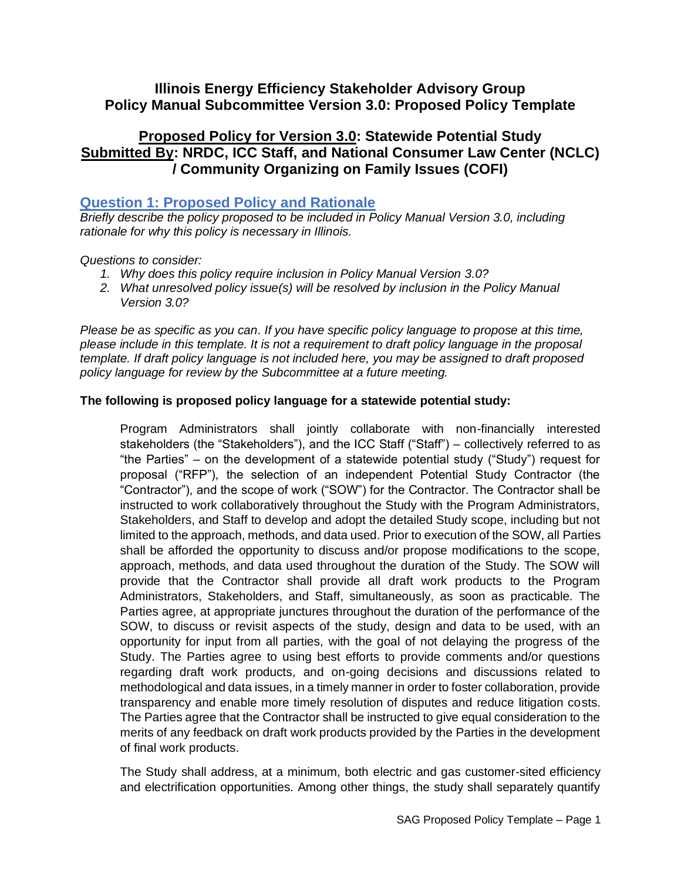## **Illinois Energy Efficiency Stakeholder Advisory Group Policy Manual Subcommittee Version 3.0: Proposed Policy Template**

# **Proposed Policy for Version 3.0: Statewide Potential Study Submitted By: NRDC, ICC Staff, and National Consumer Law Center (NCLC) / Community Organizing on Family Issues (COFI)**

#### **Question 1: Proposed Policy and Rationale**

*Briefly describe the policy proposed to be included in Policy Manual Version 3.0, including rationale for why this policy is necessary in Illinois.* 

#### *Questions to consider:*

- *1. Why does this policy require inclusion in Policy Manual Version 3.0?*
- *2. What unresolved policy issue(s) will be resolved by inclusion in the Policy Manual Version 3.0?*

*Please be as specific as you can. If you have specific policy language to propose at this time, please include in this template. It is not a requirement to draft policy language in the proposal template. If draft policy language is not included here, you may be assigned to draft proposed policy language for review by the Subcommittee at a future meeting.*

#### **The following is proposed policy language for a statewide potential study:**

Program Administrators shall jointly collaborate with non-financially interested stakeholders (the "Stakeholders"), and the ICC Staff ("Staff") – collectively referred to as "the Parties" – on the development of a statewide potential study ("Study") request for proposal ("RFP"), the selection of an independent Potential Study Contractor (the "Contractor"), and the scope of work ("SOW") for the Contractor. The Contractor shall be instructed to work collaboratively throughout the Study with the Program Administrators, Stakeholders, and Staff to develop and adopt the detailed Study scope, including but not limited to the approach, methods, and data used. Prior to execution of the SOW, all Parties shall be afforded the opportunity to discuss and/or propose modifications to the scope, approach, methods, and data used throughout the duration of the Study. The SOW will provide that the Contractor shall provide all draft work products to the Program Administrators, Stakeholders, and Staff, simultaneously, as soon as practicable. The Parties agree, at appropriate junctures throughout the duration of the performance of the SOW, to discuss or revisit aspects of the study, design and data to be used, with an opportunity for input from all parties, with the goal of not delaying the progress of the Study. The Parties agree to using best efforts to provide comments and/or questions regarding draft work products, and on-going decisions and discussions related to methodological and data issues, in a timely manner in order to foster collaboration, provide transparency and enable more timely resolution of disputes and reduce litigation costs. The Parties agree that the Contractor shall be instructed to give equal consideration to the merits of any feedback on draft work products provided by the Parties in the development of final work products.

The Study shall address, at a minimum, both electric and gas customer-sited efficiency and electrification opportunities. Among other things, the study shall separately quantify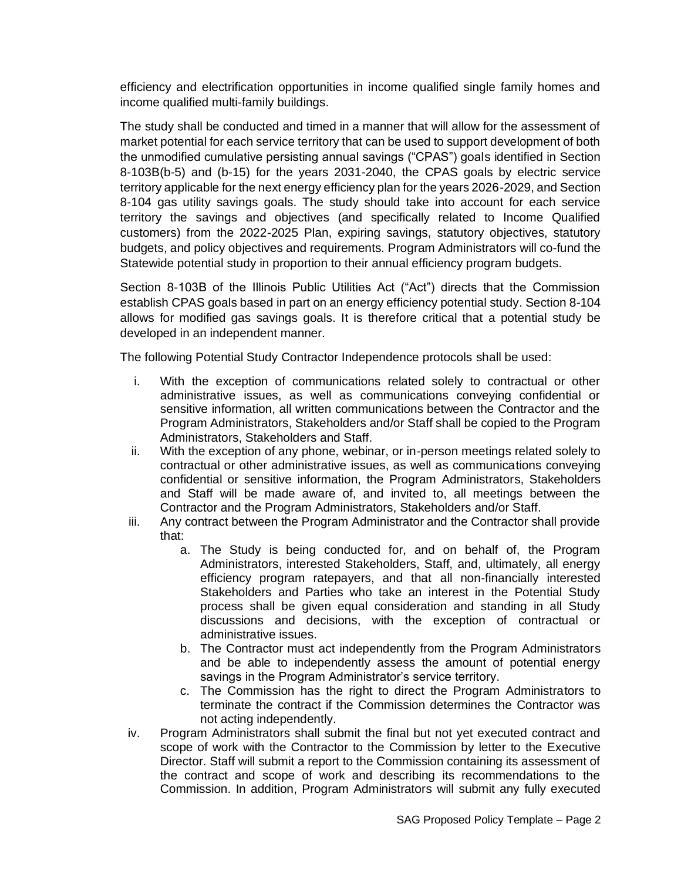efficiency and electrification opportunities in income qualified single family homes and income qualified multi-family buildings.

The study shall be conducted and timed in a manner that will allow for the assessment of market potential for each service territory that can be used to support development of both the unmodified cumulative persisting annual savings ("CPAS") goals identified in Section 8-103B(b-5) and (b-15) for the years 2031-2040, the CPAS goals by electric service territory applicable for the next energy efficiency plan for the years 2026-2029, and Section 8-104 gas utility savings goals. The study should take into account for each service territory the savings and objectives (and specifically related to Income Qualified customers) from the 2022-2025 Plan, expiring savings, statutory objectives, statutory budgets, and policy objectives and requirements. Program Administrators will co-fund the Statewide potential study in proportion to their annual efficiency program budgets.

Section 8-103B of the Illinois Public Utilities Act ("Act") directs that the Commission establish CPAS goals based in part on an energy efficiency potential study. Section 8-104 allows for modified gas savings goals. It is therefore critical that a potential study be developed in an independent manner.

The following Potential Study Contractor Independence protocols shall be used:

- i. With the exception of communications related solely to contractual or other administrative issues, as well as communications conveying confidential or sensitive information, all written communications between the Contractor and the Program Administrators, Stakeholders and/or Staff shall be copied to the Program Administrators, Stakeholders and Staff.
- ii. With the exception of any phone, webinar, or in-person meetings related solely to contractual or other administrative issues, as well as communications conveying confidential or sensitive information, the Program Administrators, Stakeholders and Staff will be made aware of, and invited to, all meetings between the Contractor and the Program Administrators, Stakeholders and/or Staff.
- iii. Any contract between the Program Administrator and the Contractor shall provide that:
	- a. The Study is being conducted for, and on behalf of, the Program Administrators, interested Stakeholders, Staff, and, ultimately, all energy efficiency program ratepayers, and that all non-financially interested Stakeholders and Parties who take an interest in the Potential Study process shall be given equal consideration and standing in all Study discussions and decisions, with the exception of contractual or administrative issues.
	- b. The Contractor must act independently from the Program Administrators and be able to independently assess the amount of potential energy savings in the Program Administrator's service territory.
	- c. The Commission has the right to direct the Program Administrators to terminate the contract if the Commission determines the Contractor was not acting independently.
- iv. Program Administrators shall submit the final but not yet executed contract and scope of work with the Contractor to the Commission by letter to the Executive Director. Staff will submit a report to the Commission containing its assessment of the contract and scope of work and describing its recommendations to the Commission. In addition, Program Administrators will submit any fully executed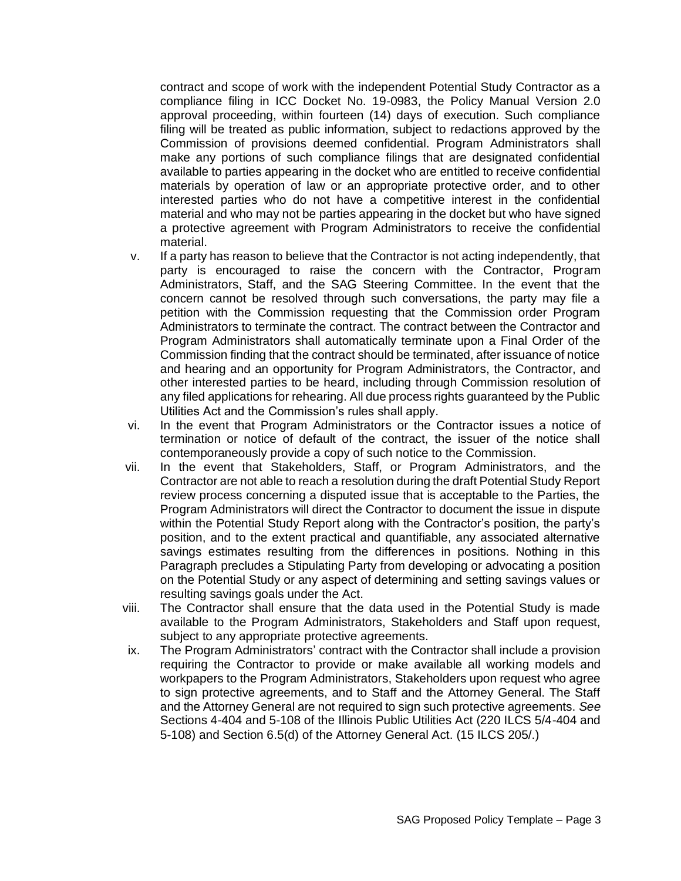contract and scope of work with the independent Potential Study Contractor as a compliance filing in ICC Docket No. 19-0983, the Policy Manual Version 2.0 approval proceeding, within fourteen (14) days of execution. Such compliance filing will be treated as public information, subject to redactions approved by the Commission of provisions deemed confidential. Program Administrators shall make any portions of such compliance filings that are designated confidential available to parties appearing in the docket who are entitled to receive confidential materials by operation of law or an appropriate protective order, and to other interested parties who do not have a competitive interest in the confidential material and who may not be parties appearing in the docket but who have signed a protective agreement with Program Administrators to receive the confidential material.

- v. If a party has reason to believe that the Contractor is not acting independently, that party is encouraged to raise the concern with the Contractor, Program Administrators, Staff, and the SAG Steering Committee. In the event that the concern cannot be resolved through such conversations, the party may file a petition with the Commission requesting that the Commission order Program Administrators to terminate the contract. The contract between the Contractor and Program Administrators shall automatically terminate upon a Final Order of the Commission finding that the contract should be terminated, after issuance of notice and hearing and an opportunity for Program Administrators, the Contractor, and other interested parties to be heard, including through Commission resolution of any filed applications for rehearing. All due process rights guaranteed by the Public Utilities Act and the Commission's rules shall apply.
- vi. In the event that Program Administrators or the Contractor issues a notice of termination or notice of default of the contract, the issuer of the notice shall contemporaneously provide a copy of such notice to the Commission.
- vii. In the event that Stakeholders, Staff, or Program Administrators, and the Contractor are not able to reach a resolution during the draft Potential Study Report review process concerning a disputed issue that is acceptable to the Parties, the Program Administrators will direct the Contractor to document the issue in dispute within the Potential Study Report along with the Contractor's position, the party's position, and to the extent practical and quantifiable, any associated alternative savings estimates resulting from the differences in positions. Nothing in this Paragraph precludes a Stipulating Party from developing or advocating a position on the Potential Study or any aspect of determining and setting savings values or resulting savings goals under the Act.
- viii. The Contractor shall ensure that the data used in the Potential Study is made available to the Program Administrators, Stakeholders and Staff upon request, subject to any appropriate protective agreements.
- ix. The Program Administrators' contract with the Contractor shall include a provision requiring the Contractor to provide or make available all working models and workpapers to the Program Administrators, Stakeholders upon request who agree to sign protective agreements, and to Staff and the Attorney General. The Staff and the Attorney General are not required to sign such protective agreements. *See* Sections 4-404 and 5-108 of the Illinois Public Utilities Act (220 ILCS 5/4-404 and 5-108) and Section 6.5(d) of the Attorney General Act. (15 ILCS 205/.)